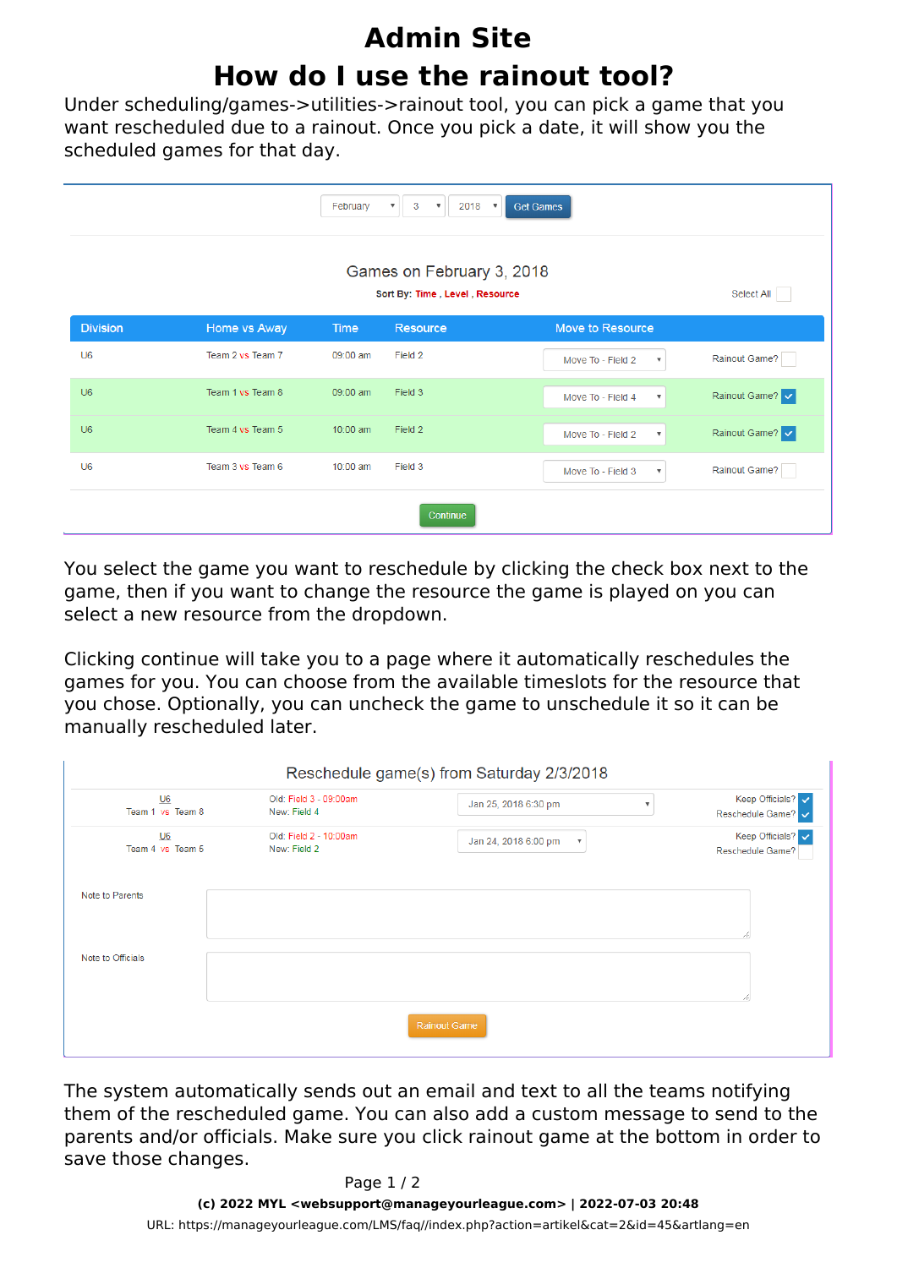## **Admin Site How do I use the rainout tool?**

Under scheduling/games->utilities->rainout tool, you can pick a game that you want rescheduled due to a rainout. Once you pick a date, it will show you the scheduled games for that day.

|                 |                  | February | 3<br>$2018$ $\sqrt{ }$<br>$\boldsymbol{\mathrm{v}}$<br>$\boldsymbol{\mathrm{v}}$ | <b>Get Games</b>                               |                 |  |
|-----------------|------------------|----------|----------------------------------------------------------------------------------|------------------------------------------------|-----------------|--|
|                 | Select All       |          |                                                                                  |                                                |                 |  |
| <b>Division</b> | Home vs Away     | Time     | Resource                                                                         | Move to Resource                               |                 |  |
| U <sub>6</sub>  | Team 2 vs Team 7 | 09:00 am | Field 2                                                                          | Move To - Field 2<br>$\boldsymbol{\mathrm{v}}$ | Rainout Game?   |  |
| U <sub>6</sub>  | Team 1 vs Team 8 | 09:00 am | Field 3                                                                          | Move To - Field 4<br>$\boldsymbol{\mathrm{v}}$ | Rainout Game? v |  |
| U <sub>6</sub>  | Team 4 vs Team 5 | 10:00 am | Field 2                                                                          | Move To - Field 2<br>$\boldsymbol{\mathrm{v}}$ | Rainout Game? v |  |
| U <sub>6</sub>  | Team 3 vs Team 6 | 10:00 am | Field 3                                                                          | Move To - Field 3<br>$\boldsymbol{\mathrm{v}}$ | Rainout Game?   |  |
| Continue        |                  |          |                                                                                  |                                                |                 |  |

You select the game you want to reschedule by clicking the check box next to the game, then if you want to change the resource the game is played on you can select a new resource from the dropdown.

Clicking continue will take you to a page where it automatically reschedules the games for you. You can choose from the available timeslots for the resource that you chose. Optionally, you can uncheck the game to unschedule it so it can be manually rescheduled later.

| Reschedule game(s) from Saturday 2/3/2018 |                                        |                                                   |                                       |  |  |  |  |  |
|-------------------------------------------|----------------------------------------|---------------------------------------------------|---------------------------------------|--|--|--|--|--|
| $U6$<br>Team 1 vs Team 8                  | Old: Field 3 - 09:00am<br>New: Field 4 | Jan 25, 2018 6:30 pm                              | Keep Officials?<br>Reschedule Game? v |  |  |  |  |  |
| $U6$<br>Team 4 vs Team 5                  | Old: Field 2 - 10:00am<br>New: Field 2 | Jan 24, 2018 6:00 pm<br>$\boldsymbol{\mathrm{v}}$ | Keep Officials?<br>Reschedule Game?   |  |  |  |  |  |
| Note to Parents                           |                                        |                                                   |                                       |  |  |  |  |  |
| Note to Officials                         |                                        |                                                   |                                       |  |  |  |  |  |
| Rainout Game                              |                                        |                                                   |                                       |  |  |  |  |  |

The system automatically sends out an email and text to all the teams notifying them of the rescheduled game. You can also add a custom message to send to the parents and/or officials. Make sure you click rainout game at the bottom in order to save those changes.